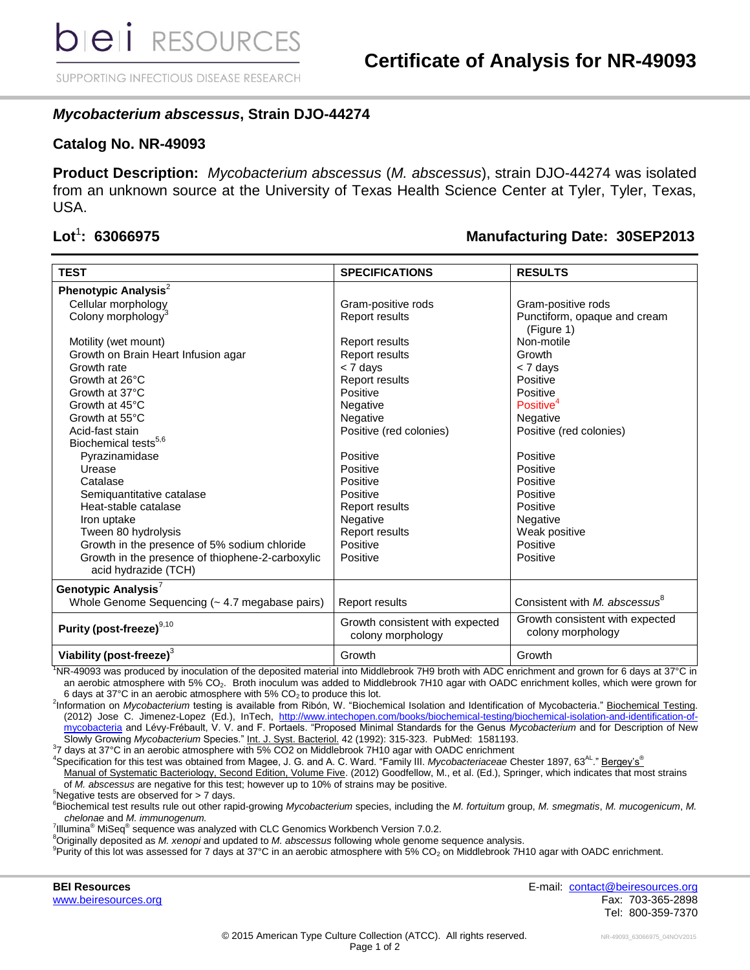SUPPORTING INFECTIOUS DISEASE RESEARCH

## *Mycobacterium abscessus***, Strain DJO-44274**

### **Catalog No. NR-49093**

**Product Description:** *Mycobacterium abscessus* (*M. abscessus*), strain DJO-44274 was isolated from an unknown source at the University of Texas Health Science Center at Tyler, Tyler, Texas, USA.

### $\text{Lot}^1$ : 63066975

### **: 63066975 Manufacturing Date: 30SEP2013**

| <b>TEST</b>                                                              | <b>SPECIFICATIONS</b>                                | <b>RESULTS</b>                                       |
|--------------------------------------------------------------------------|------------------------------------------------------|------------------------------------------------------|
| Phenotypic Analysis <sup>2</sup>                                         |                                                      |                                                      |
| Cellular morphology                                                      | Gram-positive rods                                   | Gram-positive rods                                   |
| Colony morphology <sup>3</sup>                                           | Report results                                       | Punctiform, opaque and cream<br>(Figure 1)           |
| Motility (wet mount)                                                     | <b>Report results</b>                                | Non-motile                                           |
| Growth on Brain Heart Infusion agar                                      | Report results                                       | Growth                                               |
| Growth rate                                                              | < 7 days                                             | $<$ 7 days                                           |
| Growth at 26°C                                                           | Report results                                       | Positive                                             |
| Growth at 37°C                                                           | Positive                                             | Positive                                             |
| Growth at 45°C                                                           | Negative                                             | Positive <sup>4</sup>                                |
| Growth at 55°C                                                           | Negative                                             | Negative                                             |
| Acid-fast stain                                                          | Positive (red colonies)                              | Positive (red colonies)                              |
| Biochemical tests <sup>5,6</sup>                                         |                                                      |                                                      |
| Pyrazinamidase                                                           | Positive                                             | Positive                                             |
| Urease                                                                   | Positive                                             | Positive                                             |
| Catalase                                                                 | Positive                                             | Positive                                             |
| Semiquantitative catalase                                                | Positive                                             | Positive                                             |
| Heat-stable catalase                                                     | Report results                                       | Positive                                             |
| Iron uptake                                                              | Negative                                             | Negative                                             |
| Tween 80 hydrolysis                                                      | Report results                                       | Weak positive                                        |
| Growth in the presence of 5% sodium chloride                             | Positive                                             | Positive                                             |
| Growth in the presence of thiophene-2-carboxylic<br>acid hydrazide (TCH) | Positive                                             | Positive                                             |
| Genotypic Analysis <sup>7</sup>                                          |                                                      |                                                      |
| Whole Genome Sequencing (~ 4.7 megabase pairs)                           | <b>Report results</b>                                | Consistent with M. abscessus <sup><sup>8</sup></sup> |
| Purity (post-freeze)9,10                                                 | Growth consistent with expected<br>colony morphology | Growth consistent with expected<br>colony morphology |
| Viability (post-freeze) $3$                                              | Growth                                               | Growth                                               |

<sup>1</sup>NR-49093 was produced by inoculation of the deposited material into Middlebrook 7H9 broth with ADC enrichment and grown for 6 days at 37°C in an aerobic atmosphere with 5% CO<sub>2</sub>. Broth inoculum was added to Middlebrook 7H10 agar with OADC enrichment kolles, which were grown for 6 days at 37°C in an aerobic atmosphere with 5%  $CO<sub>2</sub>$  to produce this lot.

2 Information on *Mycobacterium* testing is available from Ribón, W. "Biochemical Isolation and Identification of Mycobacteria." Biochemical Testing. (2012) Jose C. Jimenez-Lopez (Ed.), InTech, http://www.intechopen.com/books/biochemical-testing/biochemical-isolation-and-identification-of [mycobacteria](http://www.intechopen.com/books/biochemical-testing/biochemical-isolation-and-identification-of-mycobacteria) and Lévy-Frébault, V. V. and F. Portaels. "Proposed Minimal Standards for the Genus *Mycobacterium* and for Description of New Slowly Growing *Mycobacterium* Species." Int. J. Syst. Bacteriol. 42 (1992): 315-323. PubMed: 1581193.

<sup>3</sup>7 days at 37°C in an aerobic atmosphere with 5% CO2 on Middlebrook 7H10 agar with OADC enrichment

<sup>4</sup>Specification for this test was obtained from Magee, J. G. and A. C. Ward. "Family III. *Mycobacteriaceae* Chester 1897, 63AL." Bergey's® Manual of Systematic Bacteriology, Second Edition, Volume Five. (2012) Goodfellow, M., et al. (Ed.), Springer, which indicates that most strains of *M. abscessus* are negative for this test; however up to 10% of strains may be positive.

 $5$ Negative tests are observed for  $> 7$  days.

<sup>6</sup>Biochemical test results rule out other rapid-growing *Mycobacterium* species, including the *M. fortuitum* group, *M. smegmatis*, *M. mucogenicum*, *M. chelonae* and *M. immunogenum.*

<sup>7</sup>Illumina<sup>®</sup> MiSeq<sup>®</sup> sequence was analyzed with CLC Genomics Workbench Version 7.0.2.

<sup>8</sup>Originally deposited as *M. xenopi* and updated to *M. abscessus* following whole genome sequence analysis.

 $9$ Purity of this lot was assessed for 7 days at 37°C in an aerobic atmosphere with 5% CO<sub>2</sub> on Middlebrook 7H10 agar with OADC enrichment.

**BEI Resources** E-mail: [contact@beiresources.org](mailto:contact@beiresources.org) [www.beiresources.org](http://www.beiresources.org/) Fax: 703-365-2898 Tel: 800-359-7370